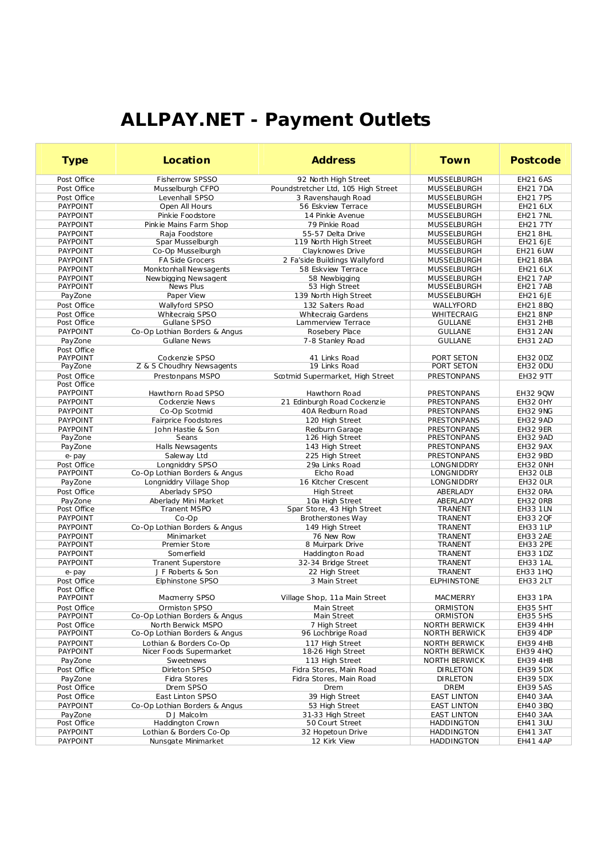## **ALLPAY.NET - Payment Outlets**

| <b>Type</b>                        | Location                                       | <b>Address</b>                       | Town                                   | Postcode                    |
|------------------------------------|------------------------------------------------|--------------------------------------|----------------------------------------|-----------------------------|
| Post Office                        | Fisherrow SPSSO                                | 92 North High Street                 | <b>MUSSELBURGH</b>                     | <b>EH21 6AS</b>             |
| Post Office                        | Musselburgh CFPO                               | Poundstretcher Ltd, 105 High Street  | MUSSELBURGH                            | <b>EH21 7DA</b>             |
| Post Office                        | Levenhall SPSO                                 | 3 Ravenshaugh Road                   | MUSSELBURGH                            | <b>EH21 7PS</b>             |
| <b>PAYPOINT</b>                    | Open All Hours                                 | 56 Eskview Terrace                   | MUSSELBURGH                            | EH21 6LX                    |
| <b>PAYPOINT</b>                    | Pinkie Foodstore                               | 14 Pinkie Avenue                     | MUSSELBURGH                            | <b>EH21 7NL</b>             |
| <b>PAYPOINT</b>                    | Pinkie Mains Farm Shop                         | 79 Pinkie Road                       | MUSSELBURGH                            | EH21 7TY                    |
| <b>PAYPOINT</b>                    | Raja Foodstore                                 | 55-57 Delta Drive                    | MUSSELBURGH                            | EH218HL                     |
| <b>PAYPOINT</b>                    | Spar Musselburgh                               | 119 North High Street                | MUSSELBURGH                            | EH21 6JE                    |
| <b>PAYPOINT</b>                    | Co-Op Musselburgh                              | Clayknowes Drive                     | MUSSELBURGH                            | EH21 6UW                    |
| <b>PAYPOINT</b>                    | <b>FA Side Grocers</b>                         | 2 Fa'side Buildings Wallyford        | MUSSELBURGH                            | EH21 8BA                    |
| <b>PAYPOINT</b>                    | Monktonhall Newsagents                         | 58 Eskview Terrace                   | MUSSELBURGH                            | EH21 6LX                    |
| <b>PAYPOINT</b>                    | Newbigging Newsagent                           | 58 Newbigging                        | <b>MUSSELBURGH</b>                     | <b>EH21 7AP</b>             |
| <b>PAYPOINT</b>                    | News Plus                                      | 53 High Street                       | <b>MUSSELBURGH</b>                     | <b>EH21 7AB</b>             |
| PayZone                            | Paper View                                     | 139 North High Street                | <b>MUSSELBURGH</b>                     | EH21 6JE                    |
| Post Office                        | Wallyford SPSO                                 | 132 Salters Road                     | WALLYFORD                              | EH21 8BQ                    |
| Post Office                        | Whitecraig SPSO                                | <b>Whitecraig Gardens</b>            | <b>WHITECRAIG</b>                      | <b>EH21 8NP</b>             |
| Post Office                        | Gullane SPSO                                   | Lammerview Terrace                   | <b>GULLANE</b>                         | EH31 2HB                    |
| <b>PAYPOINT</b>                    | Co-Op Lothian Borders & Angus                  | Rosebery Place                       | <b>GULLANE</b>                         | <b>EH31 2AN</b>             |
| PayZone                            | <b>Gullane News</b>                            | 7-8 Stanley Road                     | <b>GULLANE</b>                         | EH31 2AD                    |
| Post Office<br><b>PAYPOINT</b>     | Cockenzie SPSO                                 | 41 Links Road                        | PORT SETON                             | <b>EH32 ODZ</b>             |
| PayZone                            | Z & S Choudhry Newsagents                      | 19 Links Road                        | PORT SETON                             | EH32 ODU                    |
| Post Office                        | Prestonpans MSPO                               | Scotmid Supermarket, High Street     | <b>PRESTONPANS</b>                     | <b>EH32 9TT</b>             |
| Post Office                        |                                                |                                      |                                        |                             |
| <b>PAYPOINT</b>                    | Hawthorn Road SPSO                             | Hawthorn Road                        | <b>PRESTONPANS</b>                     | EH32 9 OW                   |
| <b>PAYPOINT</b>                    | Cockenzie News                                 | 21 Edinburgh Road Cockenzie          | PRESTONPANS                            | EH32 OHY                    |
| <b>PAYPOINT</b>                    | Co-Op Scotmid                                  | 40A Redburn Road                     | PRESTONPANS                            | <b>EH32 9NG</b>             |
| <b>PAYPOINT</b>                    | Fairprice Foodstores                           | 120 High Street                      | <b>PRESTONPANS</b>                     | EH32 9AD                    |
| <b>PAYPOINT</b>                    | John Hastie & Son                              | Redburn Garage                       | <b>PRESTONPANS</b>                     | <b>EH32 9ER</b>             |
| PayZone                            | Seans                                          | 126 High Street                      | PRESTONPANS                            | <b>EH32 9AD</b>             |
| PayZone                            | Halls Newsagents                               | 143 High Street                      | PRESTONPANS                            | <b>EH32 9AX</b>             |
| e-pay                              | Saleway Ltd                                    | 225 High Street                      | PRESTONPANS                            | EH32 9BD                    |
| Post Office                        | Longniddry SPSO                                | 29a Links Road                       | <b>LONGNIDDRY</b>                      | EH32 ONH                    |
| <b>PAYPOINT</b>                    | Co-Op Lothian Borders & Angus                  | Elcho Road                           | LONGNIDDRY                             | EH32 OLB                    |
| PayZone                            | Longniddry Village Shop                        | 16 Kitcher Crescent                  | LONGNIDDRY                             | EH32 OLR                    |
| Post Office                        | Aberlady SPSO                                  | <b>High Street</b>                   | ABERLADY                               | EH32 ORA                    |
| PayZone                            | Aberlady Mini Market                           | 10a High Street                      | ABERLADY                               | EH32 ORB                    |
| Post Office                        | <b>Tranent MSPO</b>                            | Spar Store, 43 High Street           | TRANENT                                | <b>EH33 1LN</b>             |
| <b>PAYPOINT</b>                    | $Co$ -Op                                       | Brotherstones Way                    | <b>TRANENT</b>                         | EH33 2QF                    |
| <b>PAYPOINT</b>                    | Co-Op Lothian Borders & Angus                  | 149 High Street                      | <b>TRANENT</b>                         | EH33 1LP                    |
| <b>PAYPOINT</b><br><b>PAYPOINT</b> | Minimarket<br>Premier Store                    | 76 New Row<br>8 Muirpark Drive       | <b>TRANENT</b><br><b>TRANENT</b>       | <b>EH33 2AE</b><br>EH33 2PE |
| <b>PAYPOINT</b>                    | Somerfield                                     | Haddington Road                      | TRANENT                                | EH33 1DZ                    |
| <b>PAYPOINT</b>                    | <b>Tranent Superstore</b>                      | 32-34 Bridge Street                  | TRANENT                                | EH33 1AL                    |
| e-pay                              | J F Roberts & Son                              | 22 High Street                       | TRANENT                                | EH33 1HQ                    |
| Post Office                        | Elphinstone SPSO                               | 3 Main Street                        | <b>ELPHINSTONE</b>                     | <b>EH33 2LT</b>             |
| Post Office                        |                                                |                                      |                                        |                             |
| <b>PAYPOINT</b>                    | Macmerry SPSO                                  | Village Shop, 11a Main Street        | <b>MACMERRY</b>                        | <b>EH33 1PA</b>             |
| Post Office                        | Ormiston SPSO                                  | Main Street                          | <b>ORMISTON</b>                        | <b>EH35 5HT</b>             |
| PAYPOINT                           | Co-Op Lothian Borders & Angus                  | Main Street                          | ORMISTON                               | <b>EH35 5HS</b>             |
| Post Office                        | North Berwick MSPO                             | 7 High Street                        | <b>NORTH BERWICK</b>                   | <b>EH39 4HH</b>             |
| PAYPOINT                           | Co-Op Lothian Borders & Angus                  | 96 Lochbrige Road                    | NORTH BERWICK                          | EH39 4DP                    |
| <b>PAYPOINT</b>                    | Lothian & Borders Co-Op                        | 117 High Street                      | <b>NORTH BERWICK</b>                   | EH39 4HB                    |
| PAYPOINT                           | Nicer Foods Supermarket                        | 18-26 High Street                    | NORTH BERWICK                          | EH39 4HQ                    |
| PayZone                            | Sweetnews                                      | 113 High Street                      | NORTH BERWICK                          | EH39 4HB                    |
| Post Office                        | Dirleton SPSO                                  | Fidra Stores, Main Road              | <b>DIRLETON</b>                        | EH39 5DX                    |
| PayZone                            | Fidra Stores                                   | Fidra Stores, Main Road              | <b>DIRLETON</b>                        | EH39 5DX                    |
| Post Office                        | Drem SPSO                                      | Drem                                 | DREM                                   | <b>EH39 5AS</b>             |
| Post Office                        | East Linton SPSO                               | 39 High Street                       | <b>EAST LINTON</b>                     | EH40 3AA                    |
| <b>PAYPOINT</b>                    | Co-Op Lothian Borders & Angus                  | 53 High Street                       | <b>EAST LINTON</b>                     | EH40 3BQ                    |
| PayZone                            | D J Malcolm                                    | 31-33 High Street                    | <b>EAST LINTON</b>                     | EH40 3AA                    |
| Post Office                        | Haddington Crown                               | 50 Court Street<br>32 Hopetoun Drive | <b>HADDINGTON</b>                      | EH41 3UU                    |
| PAYPOINT<br>PAYPOINT               | Lothian & Borders Co-Op<br>Nunsgate Minimarket | 12 Kirk View                         | <b>HADDINGTON</b><br><b>HADDINGTON</b> | EH41 3AT<br><b>EH41 4AP</b> |
|                                    |                                                |                                      |                                        |                             |